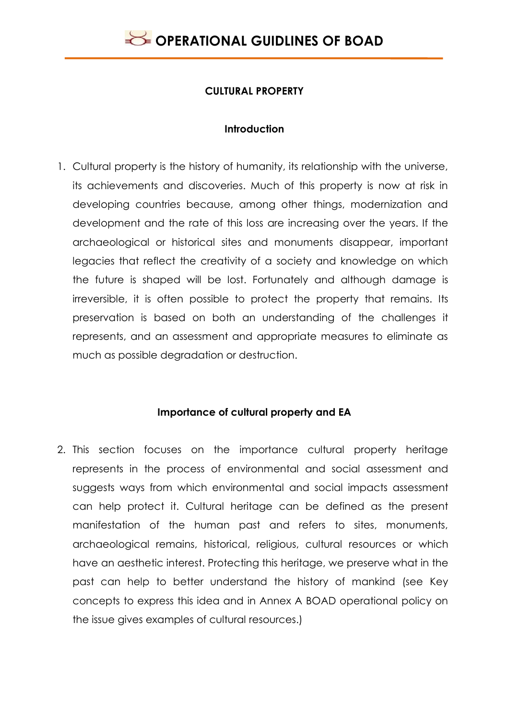

### **CULTURAL PROPERTY**

### **Introduction**

1. Cultural property is the history of humanity, its relationship with the universe, its achievements and discoveries. Much of this property is now at risk in developing countries because, among other things, modernization and development and the rate of this loss are increasing over the years. If the archaeological or historical sites and monuments disappear, important legacies that reflect the creativity of a society and knowledge on which the future is shaped will be lost. Fortunately and although damage is irreversible, it is often possible to protect the property that remains. Its preservation is based on both an understanding of the challenges it represents, and an assessment and appropriate measures to eliminate as much as possible degradation or destruction.

### **Importance of cultural property and EA**

2. This section focuses on the importance cultural property heritage represents in the process of environmental and social assessment and suggests ways from which environmental and social impacts assessment can help protect it. Cultural heritage can be defined as the present manifestation of the human past and refers to sites, monuments, archaeological remains, historical, religious, cultural resources or which have an aesthetic interest. Protecting this heritage, we preserve what in the past can help to better understand the history of mankind (see Key concepts to express this idea and in Annex A BOAD operational policy on the issue gives examples of cultural resources.)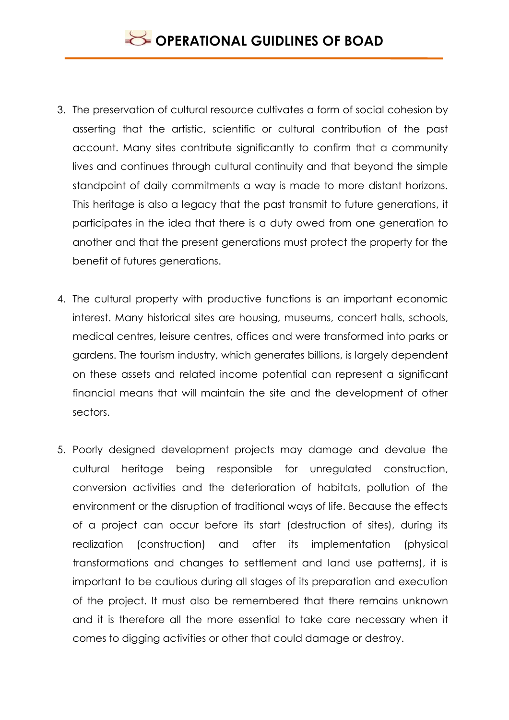- 3. The preservation of cultural resource cultivates a form of social cohesion by asserting that the artistic, scientific or cultural contribution of the past account. Many sites contribute significantly to confirm that a community lives and continues through cultural continuity and that beyond the simple standpoint of daily commitments a way is made to more distant horizons. This heritage is also a legacy that the past transmit to future generations, it participates in the idea that there is a duty owed from one generation to another and that the present generations must protect the property for the benefit of futures generations.
- 4. The cultural property with productive functions is an important economic interest. Many historical sites are housing, museums, concert halls, schools, medical centres, leisure centres, offices and were transformed into parks or gardens. The tourism industry, which generates billions, is largely dependent on these assets and related income potential can represent a significant financial means that will maintain the site and the development of other sectors.
- 5. Poorly designed development projects may damage and devalue the cultural heritage being responsible for unregulated construction, conversion activities and the deterioration of habitats, pollution of the environment or the disruption of traditional ways of life. Because the effects of a project can occur before its start (destruction of sites), during its realization (construction) and after its implementation (physical transformations and changes to settlement and land use patterns), it is important to be cautious during all stages of its preparation and execution of the project. It must also be remembered that there remains unknown and it is therefore all the more essential to take care necessary when it comes to digging activities or other that could damage or destroy.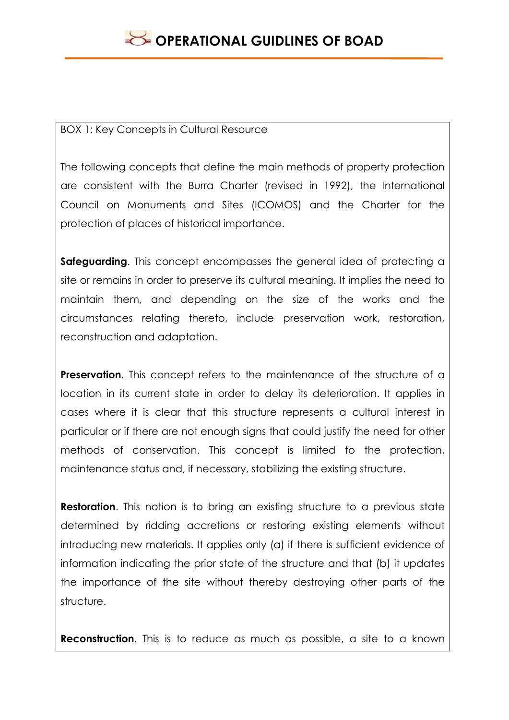### BOX 1: Key Concepts in Cultural Resource

The following concepts that define the main methods of property protection are consistent with the Burra Charter (revised in 1992), the International Council on Monuments and Sites (ICOMOS) and the Charter for the protection of places of historical importance.

**Safeguarding**. This concept encompasses the general idea of protecting a site or remains in order to preserve its cultural meaning. It implies the need to maintain them, and depending on the size of the works and the circumstances relating thereto, include preservation work, restoration, reconstruction and adaptation.

**Preservation.** This concept refers to the maintenance of the structure of a location in its current state in order to delay its deterioration. It applies in cases where it is clear that this structure represents a cultural interest in particular or if there are not enough signs that could justify the need for other methods of conservation. This concept is limited to the protection, maintenance status and, if necessary, stabilizing the existing structure.

**Restoration.** This notion is to bring an existing structure to a previous state determined by ridding accretions or restoring existing elements without introducing new materials. It applies only (a) if there is sufficient evidence of information indicating the prior state of the structure and that (b) it updates the importance of the site without thereby destroying other parts of the structure.

**Reconstruction**. This is to reduce as much as possible, a site to a known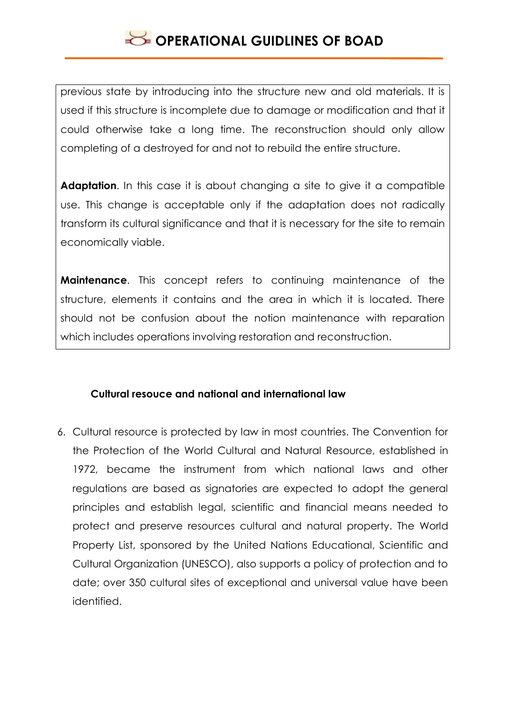previous state by introducing into the structure new and old materials. It is used if this structure is incomplete due to damage or modification and that it could otherwise take a long time. The reconstruction should only allow completing of a destroyed for and not to rebuild the entire structure.

**Adaptation**. In this case it is about changing a site to give it a compatible use. This change is acceptable only if the adaptation does not radically transform its cultural significance and that it is necessary for the site to remain economically viable.

**Maintenance**. This concept refers to continuing maintenance of the structure, elements it contains and the area in which it is located. There should not be confusion about the notion maintenance with reparation which includes operations involving restoration and reconstruction.

### **Cultural resouce and national and international law**

6. Cultural resource is protected by law in most countries. The Convention for the Protection of the World Cultural and Natural Resource, established in 1972, became the instrument from which national laws and other regulations are based as signatories are expected to adopt the general principles and establish legal, scientific and financial means needed to protect and preserve resources cultural and natural property. The World Property List, sponsored by the United Nations Educational, Scientific and Cultural Organization (UNESCO), also supports a policy of protection and to date; over 350 cultural sites of exceptional and universal value have been identified.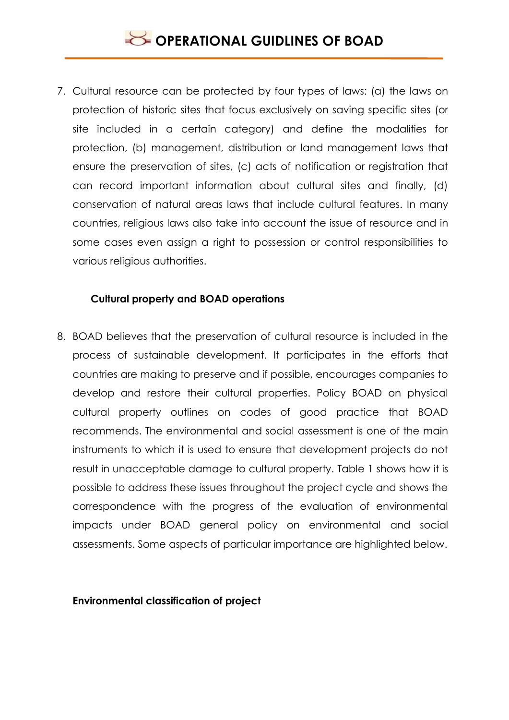7. Cultural resource can be protected by four types of laws: (a) the laws on protection of historic sites that focus exclusively on saving specific sites (or site included in a certain category) and define the modalities for protection, (b) management, distribution or land management laws that ensure the preservation of sites, (c) acts of notification or registration that can record important information about cultural sites and finally, (d) conservation of natural areas laws that include cultural features. In many countries, religious laws also take into account the issue of resource and in some cases even assign a right to possession or control responsibilities to various religious authorities.

### **Cultural property and BOAD operations**

8. BOAD believes that the preservation of cultural resource is included in the process of sustainable development. It participates in the efforts that countries are making to preserve and if possible, encourages companies to develop and restore their cultural properties. Policy BOAD on physical cultural property outlines on codes of good practice that BOAD recommends. The environmental and social assessment is one of the main instruments to which it is used to ensure that development projects do not result in unacceptable damage to cultural property. Table 1 shows how it is possible to address these issues throughout the project cycle and shows the correspondence with the progress of the evaluation of environmental impacts under BOAD general policy on environmental and social assessments. Some aspects of particular importance are highlighted below.

#### **Environmental classification of project**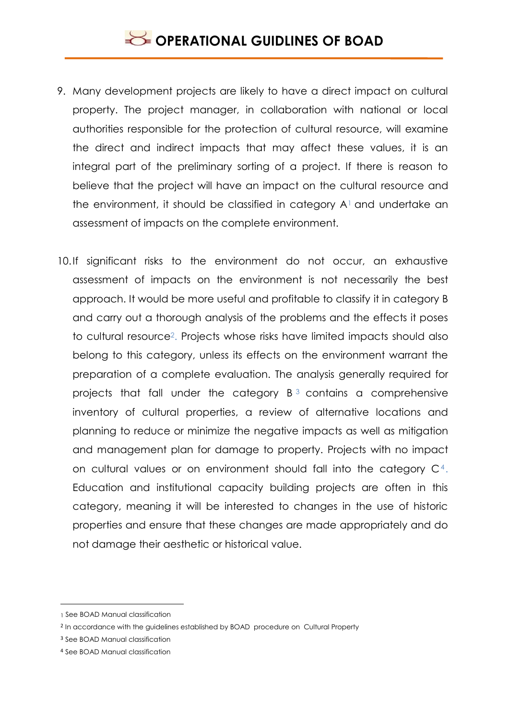# **SECTIONAL GUIDLINES OF BOAD**

- 9. Many development projects are likely to have a direct impact on cultural property. The project manager, in collaboration with national or local authorities responsible for the protection of cultural resource, will examine the direct and indirect impacts that may affect these values, it is an integral part of the preliminary sorting of a project. If there is reason to believe that the project will have an impact on the cultural resource and the environment, it should be classified in category  $A<sup>1</sup>$  and undertake an assessment of impacts on the complete environment.
- 10.If significant risks to the environment do not occur, an exhaustive assessment of impacts on the environment is not necessarily the best approach. It would be more useful and profitable to classify it in category B and carry out a thorough analysis of the problems and the effects it poses to cultural resource2. Projects whose risks have limited impacts should also belong to this category, unless its effects on the environment warrant the preparation of a complete evaluation. The analysis generally required for projects that fall under the category  $B<sup>3</sup>$  contains a comprehensive inventory of cultural properties, a review of alternative locations and planning to reduce or minimize the negative impacts as well as mitigation and management plan for damage to property. Projects with no impact on cultural values or on environment should fall into the category  $C<sup>4</sup>$ . Education and institutional capacity building projects are often in this category, meaning it will be interested to changes in the use of historic properties and ensure that these changes are made appropriately and do not damage their aesthetic or historical value.

<u>.</u>

<sup>1</sup> See BOAD Manual classification

<sup>2</sup> In accordance with the guidelines established by BOAD procedure on Cultural Property

<sup>3</sup> See BOAD Manual classification

<sup>4</sup> See BOAD Manual classification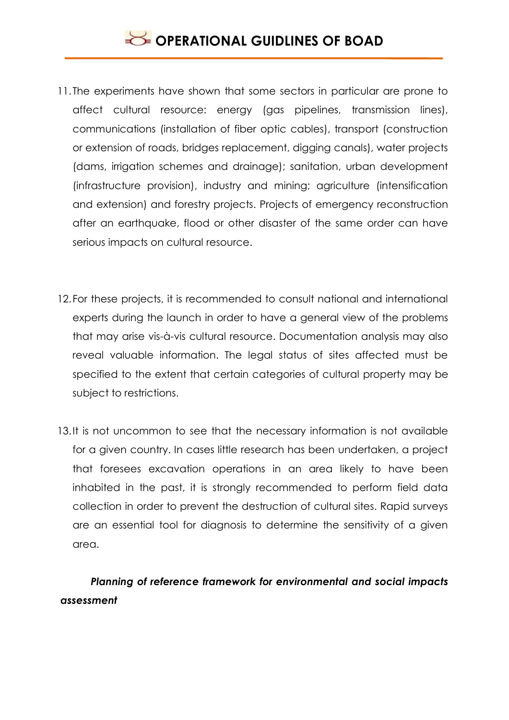- 11. The experiments have shown that some sectors in particular are prone to affect cultural resource: energy (gas pipelines, transmission lines), communications (installation of fiber optic cables), transport (construction or extension of roads, bridges replacement, digging canals), water projects (dams, irrigation schemes and drainage); sanitation, urban development (infrastructure provision), industry and mining; agriculture (intensification and extension) and forestry projects. Projects of emergency reconstruction after an earthquake, flood or other disaster of the same order can have serious impacts on cultural resource.
- 12.For these projects, it is recommended to consult national and international experts during the launch in order to have a general view of the problems that may arise vis-à-vis cultural resource. Documentation analysis may also reveal valuable information. The legal status of sites affected must be specified to the extent that certain categories of cultural property may be subject to restrictions.
- 13.It is not uncommon to see that the necessary information is not available for a given country. In cases little research has been undertaken, a project that foresees excavation operations in an area likely to have been inhabited in the past, it is strongly recommended to perform field data collection in order to prevent the destruction of cultural sites. Rapid surveys are an essential tool for diagnosis to determine the sensitivity of a given area.

## *Planning of reference framework for environmental and social impacts assessment*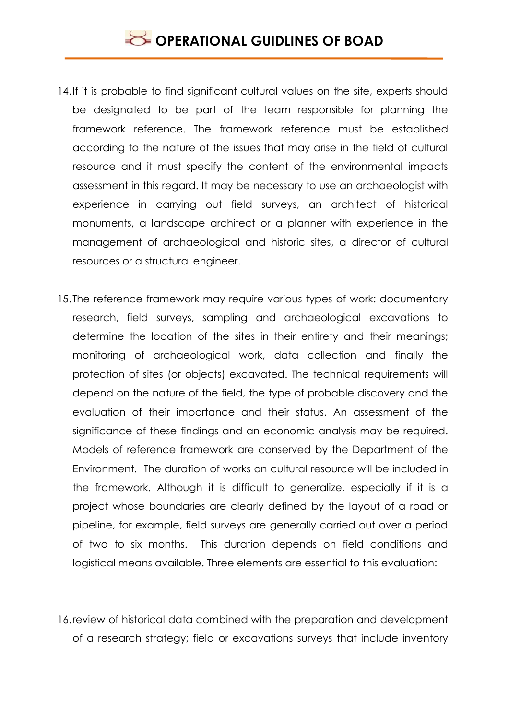- 14. If it is probable to find significant cultural values on the site, experts should be designated to be part of the team responsible for planning the framework reference. The framework reference must be established according to the nature of the issues that may arise in the field of cultural resource and it must specify the content of the environmental impacts assessment in this regard. It may be necessary to use an archaeologist with experience in carrying out field surveys, an architect of historical monuments, a landscape architect or a planner with experience in the management of archaeological and historic sites, a director of cultural resources or a structural engineer.
- 15. The reference framework may require various types of work: documentary research, field surveys, sampling and archaeological excavations to determine the location of the sites in their entirety and their meanings; monitoring of archaeological work, data collection and finally the protection of sites (or objects) excavated. The technical requirements will depend on the nature of the field, the type of probable discovery and the evaluation of their importance and their status. An assessment of the significance of these findings and an economic analysis may be required. Models of reference framework are conserved by the Department of the Environment. The duration of works on cultural resource will be included in the framework. Although it is difficult to generalize, especially if it is a project whose boundaries are clearly defined by the layout of a road or pipeline, for example, field surveys are generally carried out over a period of two to six months. This duration depends on field conditions and logistical means available. Three elements are essential to this evaluation:
- 16.review of historical data combined with the preparation and development of a research strategy; field or excavations surveys that include inventory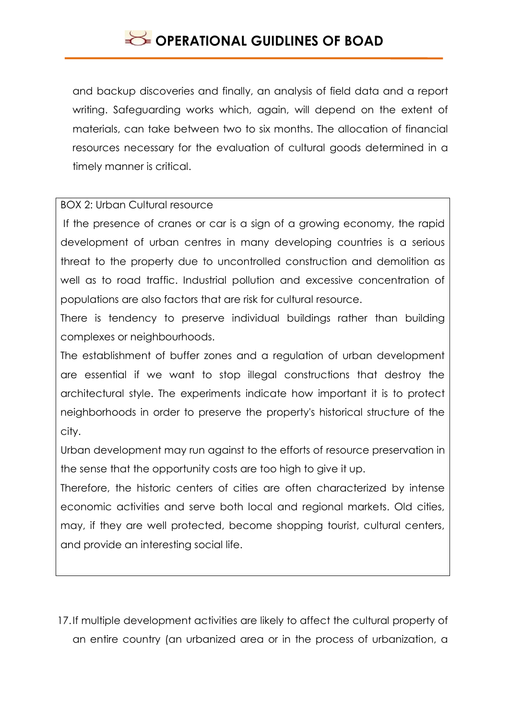and backup discoveries and finally, an analysis of field data and a report writing. Safeguarding works which, again, will depend on the extent of materials, can take between two to six months. The allocation of financial resources necessary for the evaluation of cultural goods determined in a timely manner is critical.

### BOX 2: Urban Cultural resource

If the presence of cranes or car is a sign of a growing economy, the rapid development of urban centres in many developing countries is a serious threat to the property due to uncontrolled construction and demolition as well as to road traffic. Industrial pollution and excessive concentration of populations are also factors that are risk for cultural resource.

There is tendency to preserve individual buildings rather than building complexes or neighbourhoods.

The establishment of buffer zones and a regulation of urban development are essential if we want to stop illegal constructions that destroy the architectural style. The experiments indicate how important it is to protect neighborhoods in order to preserve the property's historical structure of the city.

Urban development may run against to the efforts of resource preservation in the sense that the opportunity costs are too high to give it up.

Therefore, the historic centers of cities are often characterized by intense economic activities and serve both local and regional markets. Old cities, may, if they are well protected, become shopping tourist, cultural centers, and provide an interesting social life.

17.If multiple development activities are likely to affect the cultural property of an entire country (an urbanized area or in the process of urbanization, a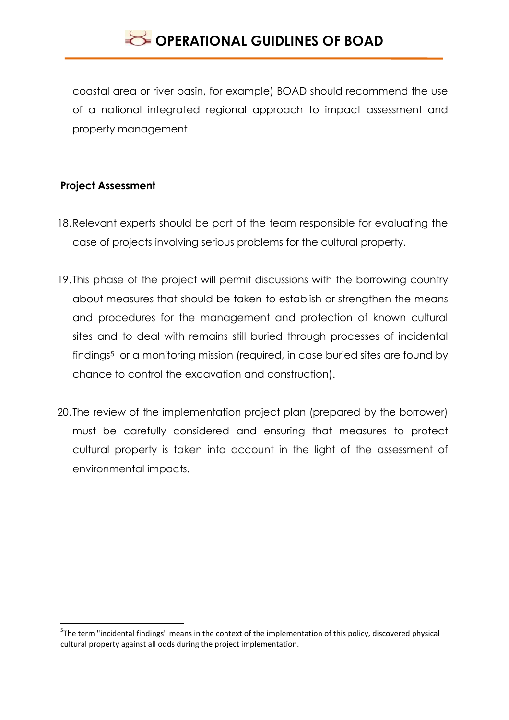coastal area or river basin, for example) BOAD should recommend the use of a national integrated regional approach to impact assessment and property management.

### **Project Assessment**

1

- 18.Relevant experts should be part of the team responsible for evaluating the case of projects involving serious problems for the cultural property.
- 19. This phase of the project will permit discussions with the borrowing country about measures that should be taken to establish or strengthen the means and procedures for the management and protection of known cultural sites and to deal with remains still buried through processes of incidental findings<sup>5</sup> or a monitoring mission (required, in case buried sites are found by chance to control the excavation and construction).
- 20. The review of the implementation project plan (prepared by the borrower) must be carefully considered and ensuring that measures to protect cultural property is taken into account in the light of the assessment of environmental impacts.

<sup>&</sup>lt;sup>5</sup>The term "incidental findings" means in the context of the implementation of this policy, discovered physical cultural property against all odds during the project implementation.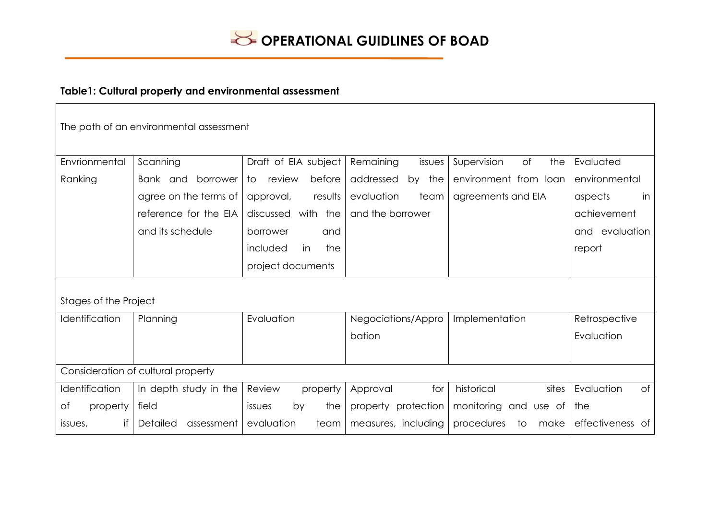

## **Table1: Cultural property and environmental assessment**

| The path of an environmental assessment |                        |                            |                        |                          |                  |  |  |  |
|-----------------------------------------|------------------------|----------------------------|------------------------|--------------------------|------------------|--|--|--|
| Envrionmental                           | Scanning               | Draft of EIA subject       | Remaining<br>issues    | of<br>the<br>Supervision | Evaluated        |  |  |  |
| Ranking                                 | Bank and borrower      | review<br>before<br>to     | addressed<br>the<br>by | environment from loan    | environmental    |  |  |  |
|                                         | agree on the terms of  | results<br>approval,       | evaluation<br>team     | agreements and EIA       | in<br>aspects    |  |  |  |
|                                         | reference for the EIA  | discussed with the         | and the borrower       |                          | achievement      |  |  |  |
|                                         | and its schedule       | borrower<br>and            |                        |                          | and evaluation   |  |  |  |
|                                         |                        | the<br>included<br>in      |                        |                          | report           |  |  |  |
|                                         |                        | project documents          |                        |                          |                  |  |  |  |
| Stages of the Project                   |                        |                            |                        |                          |                  |  |  |  |
| Identification                          | Planning               | Evaluation                 | Negociations/Appro     | Implementation           | Retrospective    |  |  |  |
|                                         |                        |                            | bation                 |                          | Evaluation       |  |  |  |
|                                         |                        |                            |                        |                          |                  |  |  |  |
| Consideration of cultural property      |                        |                            |                        |                          |                  |  |  |  |
| Identification                          | In depth study in the  | Review<br>property         | for<br>Approval        | historical<br>sites      | Evaluation<br>of |  |  |  |
| of<br>property                          | field                  | the<br>by<br><i>issues</i> | property protection    | monitoring<br>and use of | the              |  |  |  |
| if<br>issues,                           | Detailed<br>assessment | evaluation<br>team         | measures, including    | procedures<br>make<br>to | effectiveness of |  |  |  |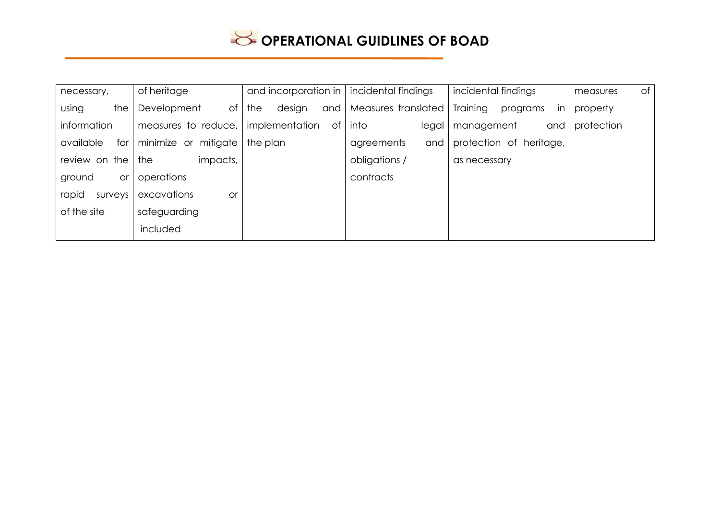| necessary,          | of heritage              | and incorporation in | incidental findings | incidental findings                  | of<br>measures |
|---------------------|--------------------------|----------------------|---------------------|--------------------------------------|----------------|
| using<br>the        | Development<br>$\circ$ f | design<br>the<br>and | Measures translated | Training<br>programs<br>$\mathsf{I}$ | property       |
| information         | measures to reduce,      | implementation<br>of | into<br>legal       | management<br>and                    | protection     |
| available<br>for    | minimize or mitigate     | the plan             | agreements<br>and   | protection of heritage,              |                |
| review on the       | impacts,<br>the          |                      | obligations /       | as necessary                         |                |
| ground<br><b>or</b> | operations               |                      | contracts           |                                      |                |
| rapid<br>surveys    | excavations<br><b>or</b> |                      |                     |                                      |                |
| of the site         | safeguarding             |                      |                     |                                      |                |
|                     | included                 |                      |                     |                                      |                |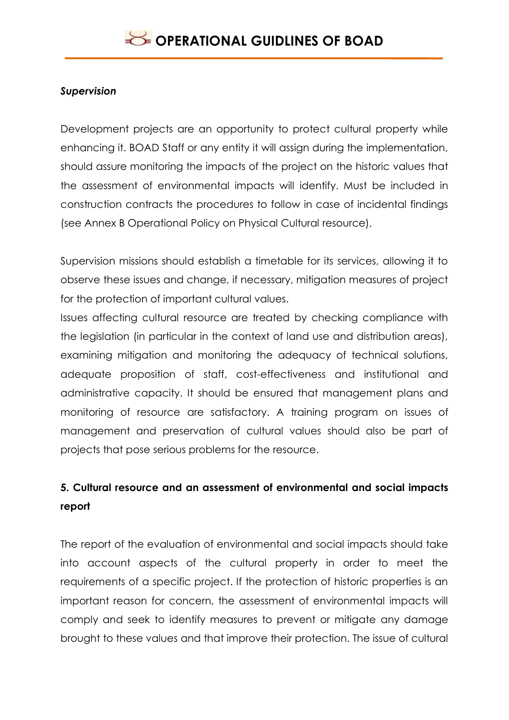### *Supervision*

Development projects are an opportunity to protect cultural property while enhancing it. BOAD Staff or any entity it will assign during the implementation, should assure monitoring the impacts of the project on the historic values that the assessment of environmental impacts will identify. Must be included in construction contracts the procedures to follow in case of incidental findings (see Annex B Operational Policy on Physical Cultural resource),

Supervision missions should establish a timetable for its services, allowing it to observe these issues and change, if necessary, mitigation measures of project for the protection of important cultural values.

Issues affecting cultural resource are treated by checking compliance with the legislation (in particular in the context of land use and distribution areas), examining mitigation and monitoring the adequacy of technical solutions, adequate proposition of staff, cost-effectiveness and institutional and administrative capacity. It should be ensured that management plans and monitoring of resource are satisfactory. A training program on issues of management and preservation of cultural values should also be part of projects that pose serious problems for the resource.

# **5. Cultural resource and an assessment of environmental and social impacts report**

The report of the evaluation of environmental and social impacts should take into account aspects of the cultural property in order to meet the requirements of a specific project. If the protection of historic properties is an important reason for concern, the assessment of environmental impacts will comply and seek to identify measures to prevent or mitigate any damage brought to these values and that improve their protection. The issue of cultural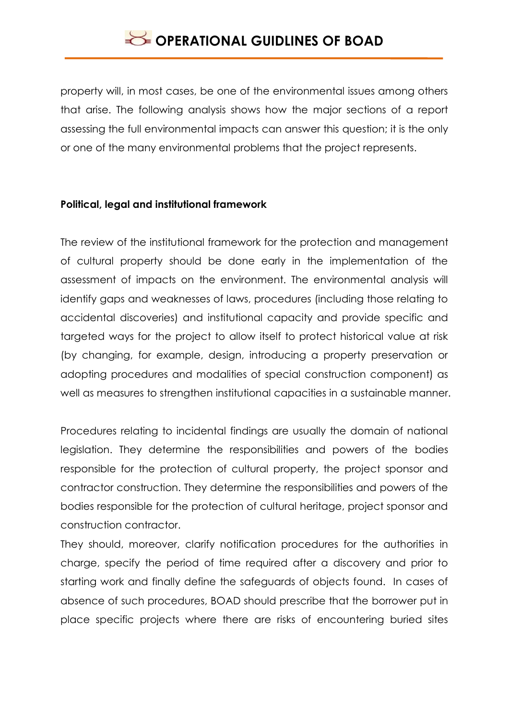property will, in most cases, be one of the environmental issues among others that arise. The following analysis shows how the major sections of a report assessing the full environmental impacts can answer this question; it is the only or one of the many environmental problems that the project represents.

### **Political, legal and institutional framework**

The review of the institutional framework for the protection and management of cultural property should be done early in the implementation of the assessment of impacts on the environment. The environmental analysis will identify gaps and weaknesses of laws, procedures (including those relating to accidental discoveries) and institutional capacity and provide specific and targeted ways for the project to allow itself to protect historical value at risk (by changing, for example, design, introducing a property preservation or adopting procedures and modalities of special construction component) as well as measures to strengthen institutional capacities in a sustainable manner.

Procedures relating to incidental findings are usually the domain of national legislation. They determine the responsibilities and powers of the bodies responsible for the protection of cultural property, the project sponsor and contractor construction. They determine the responsibilities and powers of the bodies responsible for the protection of cultural heritage, project sponsor and construction contractor.

They should, moreover, clarify notification procedures for the authorities in charge, specify the period of time required after a discovery and prior to starting work and finally define the safeguards of objects found. In cases of absence of such procedures, BOAD should prescribe that the borrower put in place specific projects where there are risks of encountering buried sites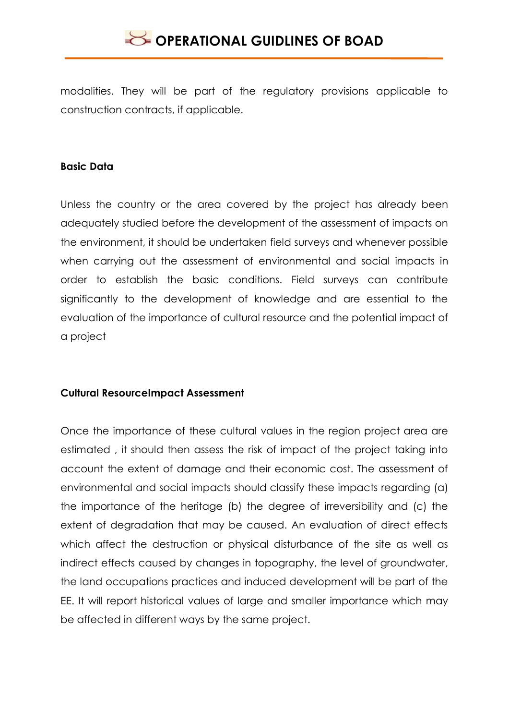modalities. They will be part of the regulatory provisions applicable to construction contracts, if applicable.

#### **Basic Data**

Unless the country or the area covered by the project has already been adequately studied before the development of the assessment of impacts on the environment, it should be undertaken field surveys and whenever possible when carrying out the assessment of environmental and social impacts in order to establish the basic conditions. Field surveys can contribute significantly to the development of knowledge and are essential to the evaluation of the importance of cultural resource and the potential impact of a project

### **Cultural ResourceImpact Assessment**

Once the importance of these cultural values in the region project area are estimated , it should then assess the risk of impact of the project taking into account the extent of damage and their economic cost. The assessment of environmental and social impacts should classify these impacts regarding (a) the importance of the heritage (b) the degree of irreversibility and (c) the extent of degradation that may be caused. An evaluation of direct effects which affect the destruction or physical disturbance of the site as well as indirect effects caused by changes in topography, the level of groundwater, the land occupations practices and induced development will be part of the EE. It will report historical values of large and smaller importance which may be affected in different ways by the same project.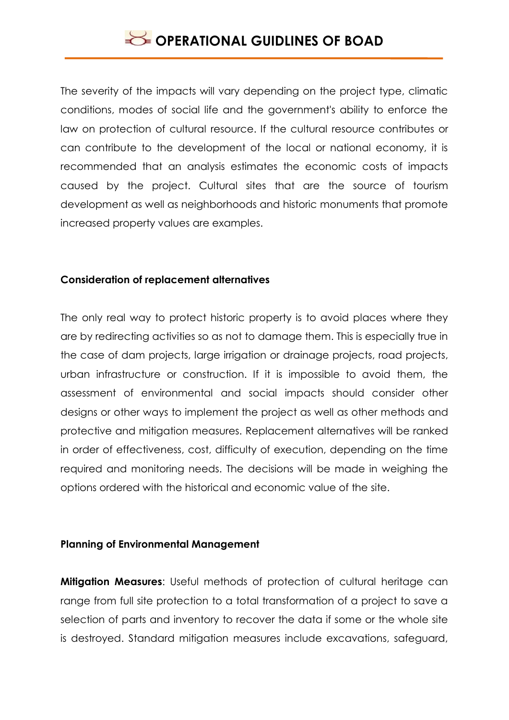The severity of the impacts will vary depending on the project type, climatic conditions, modes of social life and the government's ability to enforce the law on protection of cultural resource. If the cultural resource contributes or can contribute to the development of the local or national economy, it is recommended that an analysis estimates the economic costs of impacts caused by the project. Cultural sites that are the source of tourism development as well as neighborhoods and historic monuments that promote increased property values are examples.

#### **Consideration of replacement alternatives**

The only real way to protect historic property is to avoid places where they are by redirecting activities so as not to damage them. This is especially true in the case of dam projects, large irrigation or drainage projects, road projects, urban infrastructure or construction. If it is impossible to avoid them, the assessment of environmental and social impacts should consider other designs or other ways to implement the project as well as other methods and protective and mitigation measures. Replacement alternatives will be ranked in order of effectiveness, cost, difficulty of execution, depending on the time required and monitoring needs. The decisions will be made in weighing the options ordered with the historical and economic value of the site.

#### **Planning of Environmental Management**

**Mitigation Measures**: Useful methods of protection of cultural heritage can range from full site protection to a total transformation of a project to save a selection of parts and inventory to recover the data if some or the whole site is destroyed. Standard mitigation measures include excavations, safeguard,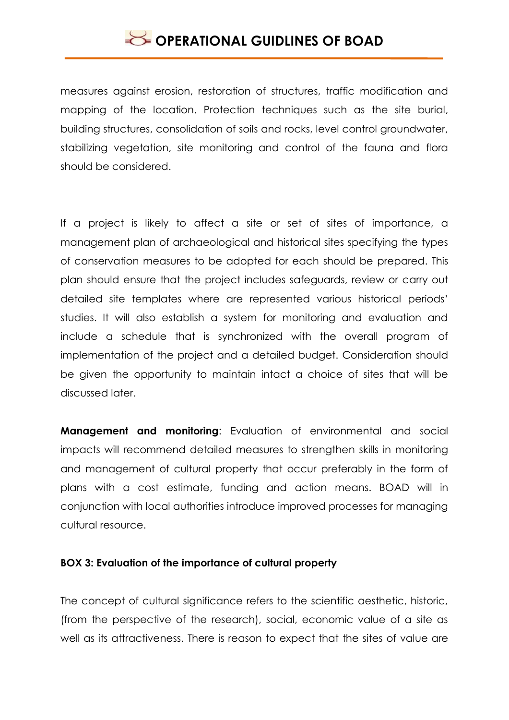measures against erosion, restoration of structures, traffic modification and mapping of the location. Protection techniques such as the site burial, building structures, consolidation of soils and rocks, level control groundwater, stabilizing vegetation, site monitoring and control of the fauna and flora should be considered.

If a project is likely to affect a site or set of sites of importance, a management plan of archaeological and historical sites specifying the types of conservation measures to be adopted for each should be prepared. This plan should ensure that the project includes safeguards, review or carry out detailed site templates where are represented various historical periods' studies. It will also establish a system for monitoring and evaluation and include a schedule that is synchronized with the overall program of implementation of the project and a detailed budget. Consideration should be given the opportunity to maintain intact a choice of sites that will be discussed later.

**Management and monitoring**: Evaluation of environmental and social impacts will recommend detailed measures to strengthen skills in monitoring and management of cultural property that occur preferably in the form of plans with a cost estimate, funding and action means. BOAD will in conjunction with local authorities introduce improved processes for managing cultural resource.

#### **BOX 3: Evaluation of the importance of cultural property**

The concept of cultural significance refers to the scientific aesthetic, historic, (from the perspective of the research), social, economic value of a site as well as its attractiveness. There is reason to expect that the sites of value are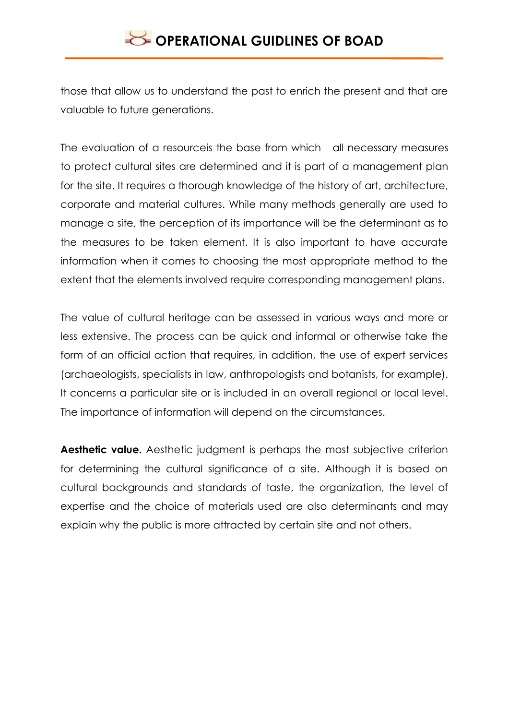those that allow us to understand the past to enrich the present and that are valuable to future generations.

The evaluation of a resourceis the base from which all necessary measures to protect cultural sites are determined and it is part of a management plan for the site. It requires a thorough knowledge of the history of art, architecture, corporate and material cultures. While many methods generally are used to manage a site, the perception of its importance will be the determinant as to the measures to be taken element. It is also important to have accurate information when it comes to choosing the most appropriate method to the extent that the elements involved require corresponding management plans.

The value of cultural heritage can be assessed in various ways and more or less extensive. The process can be quick and informal or otherwise take the form of an official action that requires, in addition, the use of expert services (archaeologists, specialists in law, anthropologists and botanists, for example). It concerns a particular site or is included in an overall regional or local level. The importance of information will depend on the circumstances.

**Aesthetic value.** Aesthetic judgment is perhaps the most subjective criterion for determining the cultural significance of a site. Although it is based on cultural backgrounds and standards of taste, the organization, the level of expertise and the choice of materials used are also determinants and may explain why the public is more attracted by certain site and not others.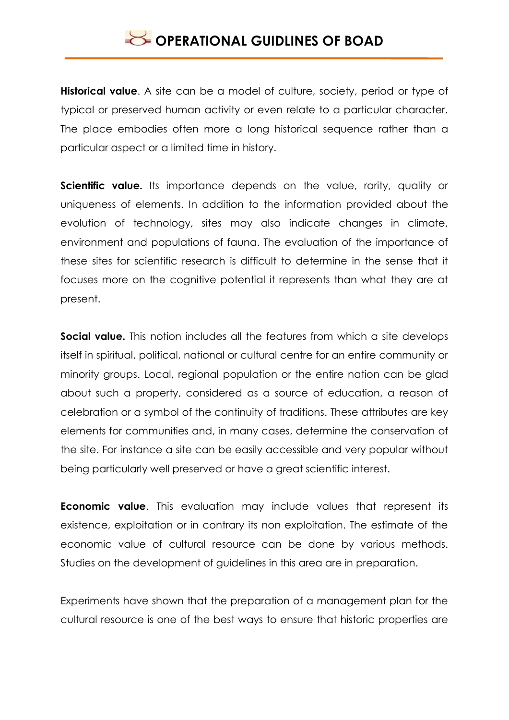**Historical value**. A site can be a model of culture, society, period or type of typical or preserved human activity or even relate to a particular character. The place embodies often more a long historical sequence rather than a particular aspect or a limited time in history.

**Scientific value.** Its importance depends on the value, rarity, quality or uniqueness of elements. In addition to the information provided about the evolution of technology, sites may also indicate changes in climate, environment and populations of fauna. The evaluation of the importance of these sites for scientific research is difficult to determine in the sense that it focuses more on the cognitive potential it represents than what they are at present.

**Social value.** This notion includes all the features from which a site develops itself in spiritual, political, national or cultural centre for an entire community or minority groups. Local, regional population or the entire nation can be glad about such a property, considered as a source of education, a reason of celebration or a symbol of the continuity of traditions. These attributes are key elements for communities and, in many cases, determine the conservation of the site. For instance a site can be easily accessible and very popular without being particularly well preserved or have a great scientific interest.

**Economic value**. This evaluation may include values that represent its existence, exploitation or in contrary its non exploitation. The estimate of the economic value of cultural resource can be done by various methods. Studies on the development of guidelines in this area are in preparation.

Experiments have shown that the preparation of a management plan for the cultural resource is one of the best ways to ensure that historic properties are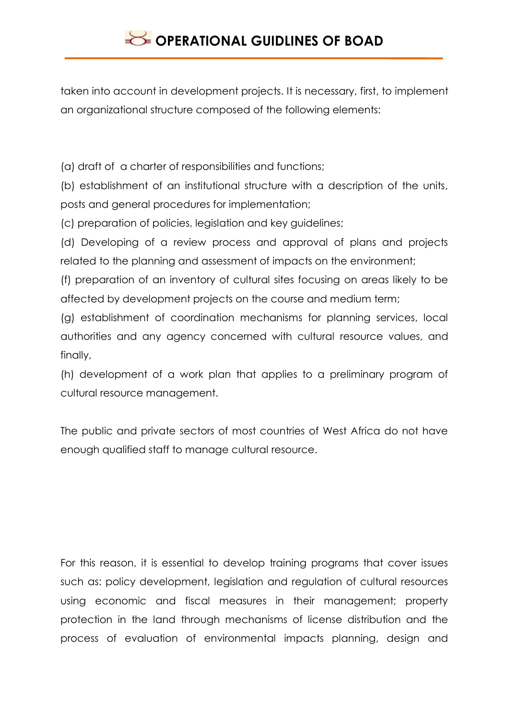taken into account in development projects. It is necessary, first, to implement an organizational structure composed of the following elements:

(a) draft of a charter of responsibilities and functions;

(b) establishment of an institutional structure with a description of the units, posts and general procedures for implementation;

(c) preparation of policies, legislation and key guidelines;

(d) Developing of a review process and approval of plans and projects related to the planning and assessment of impacts on the environment;

(f) preparation of an inventory of cultural sites focusing on areas likely to be affected by development projects on the course and medium term;

(g) establishment of coordination mechanisms for planning services, local authorities and any agency concerned with cultural resource values, and finally,

(h) development of a work plan that applies to a preliminary program of cultural resource management.

The public and private sectors of most countries of West Africa do not have enough qualified staff to manage cultural resource.

For this reason, it is essential to develop training programs that cover issues such as: policy development, legislation and regulation of cultural resources using economic and fiscal measures in their management; property protection in the land through mechanisms of license distribution and the process of evaluation of environmental impacts planning, design and